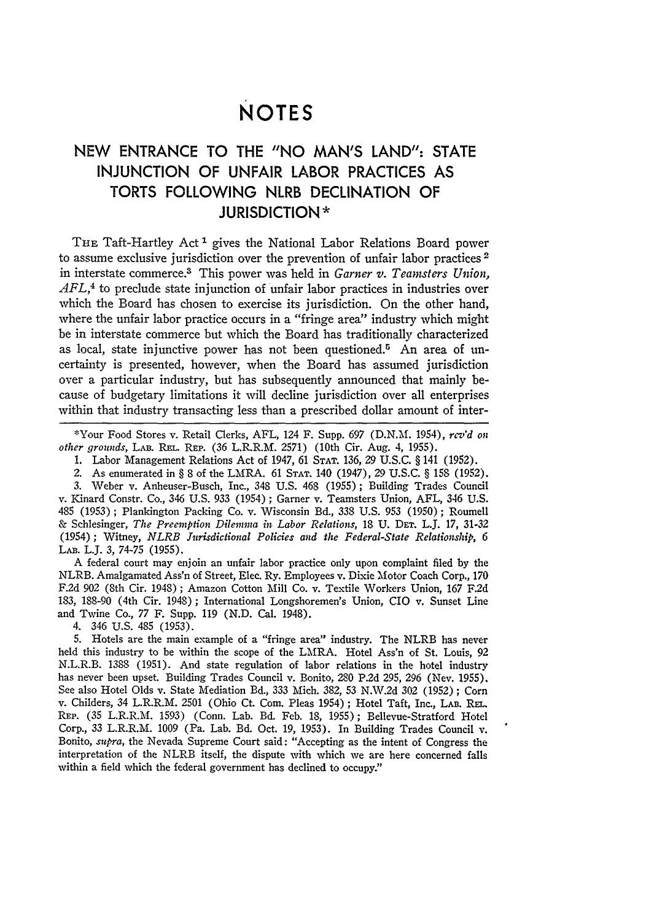## **NOTES**

## **NEW ENTRANCE** TO THE **"NO MAN'S LAND": STATE INJUNCTION** OF **UNFAIR** LABOR PRACTICES **AS** TORTS FOLLOWING NLRB **DECLINATION** OF **JURISDICTION\***

THE Taft-Hartley Act<sup>1</sup> gives the National Labor Relations Board power to assume exclusive jurisdiction over the prevention of unfair labor practices<sup>2</sup> in interstate commerce.<sup>3</sup> This power was held in *Garner v. Teamsters Union*, *AFL,4* to preclude state injunction of unfair labor practices in industries over which the Board has chosen to exercise its jurisdiction. On the other hand, where the unfair labor practice occurs in a "fringe area" industry which might be in interstate commerce but which the Board has traditionally characterized as local, state injunctive power has not been questioned.5 An area of uncertainty is presented, however, when the Board has assumed jurisdiction over a particular industry, but has subsequently announced that mainly because of budgetary limitations it will decline jurisdiction over all enterprises within that industry transacting less than a prescribed dollar amount of inter-

\*Your Food Stores v. Retail Clerks, **AFL,** 124 F. Supp. **697** (D.N.M. 1954), *rcv'd on other grounds,* LAB. **REL.** REP. (36 L.R.R.M. 2571) (10th Cir. Aug. 4, 1955).

1. Labor Management Relations Act of 1947, 61 **STAT.** 136, 29 U.S.C. § 141 (1952).

2. As enumerated in § 8 of the LMRA. 61 **STAT.** 140 (1947), 29 U.S.C. § 158 (1952). 3. Weber v. Anheuser-Busch, Inc., 348 U.S. 468 (1955) ; Building Trades Council

v. Kinard Constr. Co., 346 U.S. 933 (1954) ; Garner v. Teamsters Union, AFL, 346 U.S. 485 (1953) ; Plankington Packing Co. v. Wisconsin Bd., 338 U.S. 953 (1950) ; Roumell & Schlesinger, *The Preemption Dilemma in Labor Relations,* 18 U. **DET.** L.J. 17, 31-32 (1954) ; Witney, *NLRB Jurisdictional Policies and the Federal-State Relationship, 6* LAB. L.J. 3, 74-75 (1955).

A federal court may enjoin an unfair labor practice only upon complaint filed by the NLRB. Amalgamated Ass'n of Street, Elec. Ry. Employees v. Dixie Motor Coach Corp., 170 F.2d 902 (8th Cir. 1948) ; Amazon Cotton Mill Co. v. Textile Workers Union, 167 F.2d 183, 188-90 (4th Cir. 1948); International Longshoremen's Union, CIO v. Sunset Line and Twine Co., 77 F. Supp. 119 (N.D. Cal. 1948).

4. 346 U.S. 485 (1953).

5. Hotels are the main example of a "fringe area" industry. The NLRB has never held this industry to be within the scope of the LMRA. Hotel Ass'n of St. Louis, 92 N.L.R.B. 1388 (1951). And state regulation of labor relations in the hotel industry has never been upset. Building Trades Council v. Bonito, 280 P.2d 295, 296 (Nev. 1955). See also Hotel Olds v. State Mediation Bd., 333 Mich. 382, 53 N.W.2d 302 (1952) ; Corn v. Childers, 34 L.R.R.M. 2501 (Ohio Ct. Com. Pleas 1954); Hotel Taft, Inc., LAB. REL. REP. (35 L.R.R.M. 1593) (Conn. Lab. Bd. Feb. **18,** 1955); Bellevue-Stratford Hotel Corp., 33 L.R.R.M. 1009 (Pa. Lab. Bd. Oct. 19, 1953). In Building Trades Council v. Bonito, *supra,* the Nevada Supreme Court said: "Accepting as the intent of Congress the interpretation of the NLRB itself, the dispute with which we are here concerned falls within a field which the federal government has declined to occupy."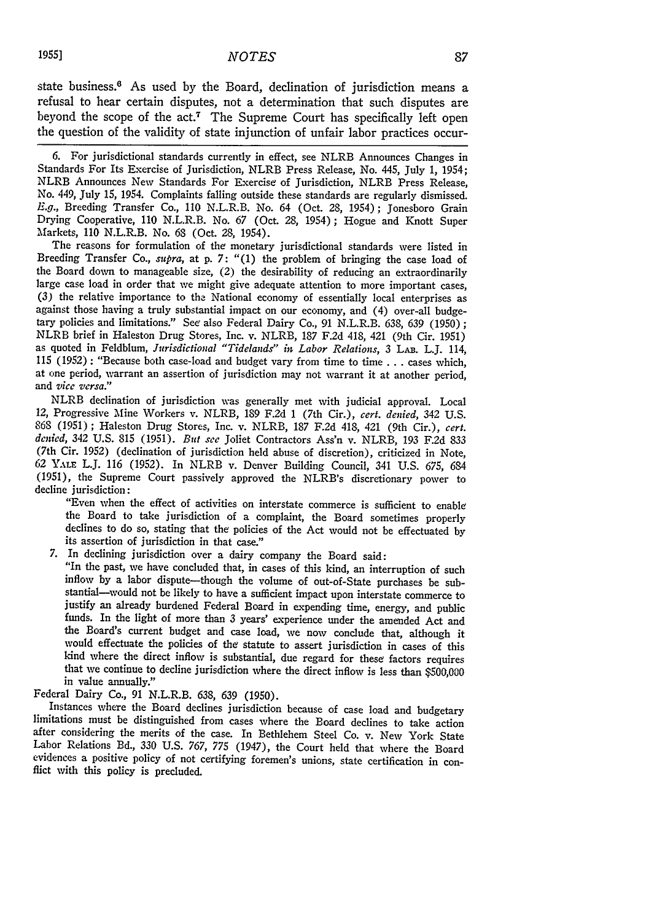state business.<sup>6</sup> As used by the Board, declination of jurisdiction means a refusal to hear certain disputes, not a determination that such disputes are beyond the scope of the **act.7** The Supreme Court has specifically left open the question of the validity of state injunction of unfair labor practices occur-

6. For jurisdictional standards currently in effect, see NLRB Announces Changes in Standards For Its Exercise of Jurisdiction, NLRB Press Release, No. 445, July 1, 1954; NLRB Announces New Standards For Exercise of Jurisdiction, NLRB Press Release, No. 449, July 15, 1954. Complaints falling outside these standards are regularly dismissed. *E.g.,* Breeding Transfer Co., 110 N.L.R.B. No. 64 (Oct. 28, 1954); Jonesboro Grain Drying Cooperative, 110 N.L.R.B. No. 67 (Oct. 28, 1954); Hogue and Knott Super Markets, 110 N.L.R.B. No. **63** (Oct. 28, 1954).

The reasons for formulation of the monetary jurisdictional standards were listed in Breeding Transfer Co., *supra*, at p. 7: "(1) the problem of bringing the case load of the Board down to manageable size, (2) the desirability of reducing an extraordinarily large case load in order that we might give adequate attention to more important cases, (3) the relative importance to the National economy of essentially local enterprises as against those having a truly substantial impact on our economy, and (4) over-all budgetary policies and limitations." See also Federal Dairy Co., 91 N.L.R.B. 638, 639 (1950) **;** NLRB brief in Haleston Drug Stores, Inc. v. NLRB, 187 F.2d 418, 421 (9th Cir. 1951) as quoted in Feldblum, *Jurisdictional "Tidelands" in Labor Relations*, 3 LAB. L.J. 114, 115 (1952): "Because both case-load and budget va at one period, warrant an assertion of jurisdiction may not warrant it at another period, and *vice versa."*

NLRB declination of jurisdiction was generally met with judicial approval. Local 12, Progressive Mine Workers v. NLRB, 189 F.2d 1 (7th Cir.), *cert. denied,* 342 U.S. 868 (1951); Haleston Drug Stores, Inc. v. NLRB, 187 F.2d 418, 421 (9th Cir.), *cert. denied,* 342 U.S. 815 (1951). *Brt see* Joliet Contractors Ass'n v. NLRB, 193 F.2d 833 (7th Cir. 1952) (declination of jurisdiction held abuse of discretion), criticized in Note, 62 YALE L.J. 116 (1952). In NLRB v. Denver Building Council, 341 U.S. 675, *684* (1951), the Supreme Court passively approved the NLRB's discretionary power to decline jurisdiction:

"Even when the effect of activities on interstate commerce is sufficient to enable the Board to take jurisdiction of a complaint, the Board sometimes properly declines to do so, stating that the policies of the Act would not be effectuated by its assertion of jurisdiction in that case."

**7.** In declining jurisdiction over a dairy company the Board said:

"In the past, we have concluded that, in cases of this kind, an interruption of such inflow by a labor dispute-though the volume of out-of-State purchases be substantial-would not be likely to have a sufficient impact upon interstate commerce to justify an already burdened Federal Board in expending time, energy, and public funds. In the light of more than **3** years' experience under the amended Act and the Board's current budget and case load, we now conclude that, although it would effectuate the policies of the statute to assert jurisdiction in cases of this kind where the direct inflow is substantial, due regard for these factors requires that we continue to decline jurisdiction where the direct inflow is less than **\$500,000** in value annually."

Federal Dairy Co., **91** N.L.R.B. 638, *639* (1950).

Instances where the Board declines jurisdiction because of case load and budgetary limitations must be distinguished from cases where the Board declines to take action after considering the merits of the case. In Bethlehem Steel Co. v. New York State Labor Relations Bd., **330** U.S. 767, **775** (1947), the Court held that where the Board evidences a positive policy of not certifying foremen's unions, state certification in con- flict with this policy is precluded.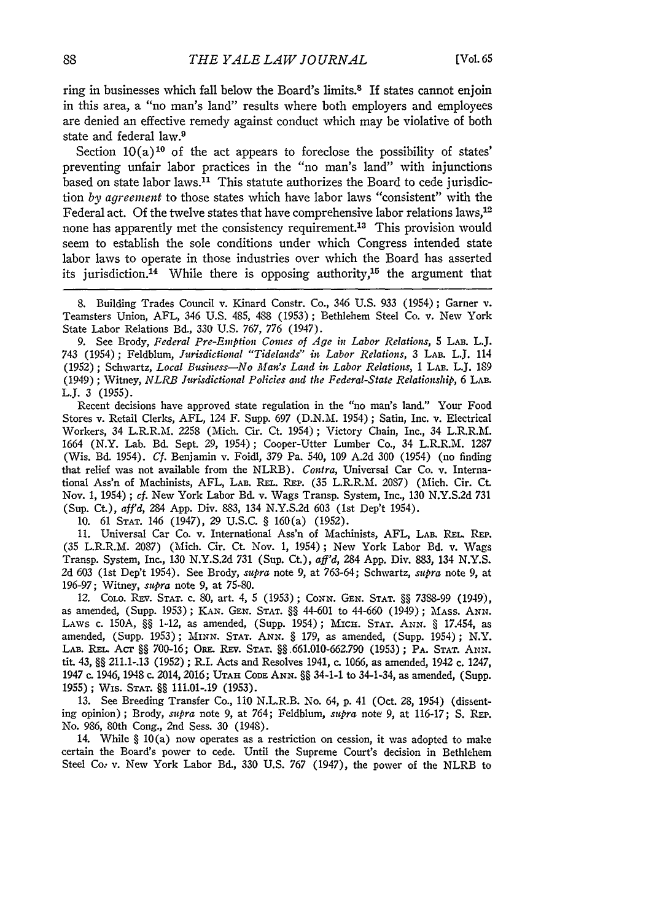ring in businesses which fall below the Board's limits.8 If states cannot enjoin in this area, a "no man's land" results where both employers and employees are denied an effective remedy against conduct which may be violative of both state and federal law.9

Section  $10(a)^{10}$  of the act appears to foreclose the possibility of states' preventing unfair labor practices in the "no man's land" with injunctions based on state labor laws. $^{11}$  This statute authorizes the Board to cede jurisdiction *by agreement* to those states which have labor laws "consistent" with the Federal act. Of the twelve states that have comprehensive labor relations laws,<sup>12</sup> none has apparently met the consistency requirement.<sup>13</sup> This provision would seem to establish the sole conditions under which Congress intended state labor laws to operate in those industries over which the Board has asserted its jurisdiction.<sup>14</sup> While there is opposing authority,<sup>15</sup> the argument that

**9.** See Brody, *Federal Pre-Emption Comes of Age in Labor Relations, 5* LAB. L.J. 743 (1954); Feldblum, *Jurisdictional "Tidelands" in Labor Relations,* 3 LAB. L.J. 114 (1952); Schwartz, *Local Business-No Mat's Land in Labor Relations,* 1 **LAB.** L.J. 189 (1949); Witney, *NLRB Jurisdictioial Policies and the Federal-State Relationship,* 6 LAB. L.J. **3 (1955).**

Recent decisions have approved state regulation in the "no man's land." Your Food Stores v. Retail Clerks, AFL, 124 F. Supp. 697 (D.N.M. 1954) ; Satin, Inc. v. Electrical Workers, 34 L.R.R.M. 2258 (Mich. Cir. Ct. 1954); Victory Chain, Inc., 34 L.R.R.M. 1664 (N.Y. Lab. Bd. Sept. 29, 1954); Cooper-Utter Lumber Co., 34 L.R.R.M. 1287 (Wis. Bd. 1954). *Cf.* Benjamin v. Foidl, 379 *Pa.* 540, 109 A.2d 300 (1954) (no finding that relief was not available from the NLRB). *Contra,* Universal Car Co. v. International Ass'n of Machinists, AFL, LAB. REL. REP. (35 L.R.R.M. 2087) (Mich. Cir. Ct. Nov. 1, 1954) ; *cf.* New York Labor Bd. v. Wags Transp. System, Inc., 130 N.Y.S.2d 731 (Sup. Ct), *aff'd,* 284 App. Div. 883, 134 N.Y.S.2d 603 (1st Dep't 1954).

10. 61 **STAT.** 146 (1947), 29 U.S.C. § 160(a) (1952).

11. Universal Car Co. v. International Ass'n of Machinists, AFL, LAB. REL. REP. (35 L.R.R.M. 2087) (Mich. Cir. Ct. Nov. 1, 1954); New York Labor Bd. v. Wags Transp. System, Inc., 130 N.Y.S.2d 731 (Sup. Ct), *aff'd,* 284 App. Div. 883, 134 N.Y.S. 2d 603 (1st Dep't 1954). See Brody, *supra* note 9, at 763-64; Schwartz, *supra* note 9, at 196-97; Witney, *supra* note 9, at 75-80.

12. CoLo. Ray. **STAT.** c. 80, art. 4, 5 (1953); *CONN.* **GEN. STAT.** §§ 7388-99 (1949), as amended, (Supp. 1953) ; KAN. **GEN. STAT.** §§ 44-601 to 44-660 (1949); MAss. **ANN.** LAws c. **150A,** §§ 1-12, as amended, (Supp. 1954); Mic-. **STAT. ANN.** § 17.454, as amended, (Supp. 1953); **MiNN. STAT.** *ANN.* § 179, as amended, (Supp. 1954); N.Y. LAB. RE.. Acr **§§** 700-16; OR. REv. **STAT.** §§.661.010-662.790 (1953); PA. **STAT. ANN.** tit. 43, §§ 211.1-.13 (1952) ; R.I. Acts and Resolves 1941, c. 1066, as amended, 1942 c. 1247, 1947 c. 1946, 1948 c. 2014, 2016; **UTAH CODE ANN.** §§ 34-1-1 to 34-1-34, as amended, (Supp. 1955); Wis. **STAT.** §§ 111.01-.19 (1953).

13. See Breeding Transfer Co., **110** N.L.R.B. No. 64, p. 41 (Oct. 28, 1954) (dissenting opinion); Brody, *supra* note 9, at 764; Feldblum, *supra* note 9, at 116-17; **S.** Ru'. No. 986, 80th Cong., 2nd Sess. 30 (1948).

14. While § 10(a) now operates as a restriction on cession, it was adopted to make certain the Board's power to cede. Until the Supreme Court's decision in Bethlehem Steel Co: v. New York Labor Bd., 330 U.S. 767 (1947), the power of the NLRB to

<sup>8.</sup> Building Trades Council v. Kinard Constr. Co., 346 U.S. 933 (1954); Garner v. Teamsters Union, AFL, 346 U.S. 485, 488 (1953); Bethlehem Steel Co. v. New York State Labor Relations Bd., 330 U.S. 767, 776 (1947).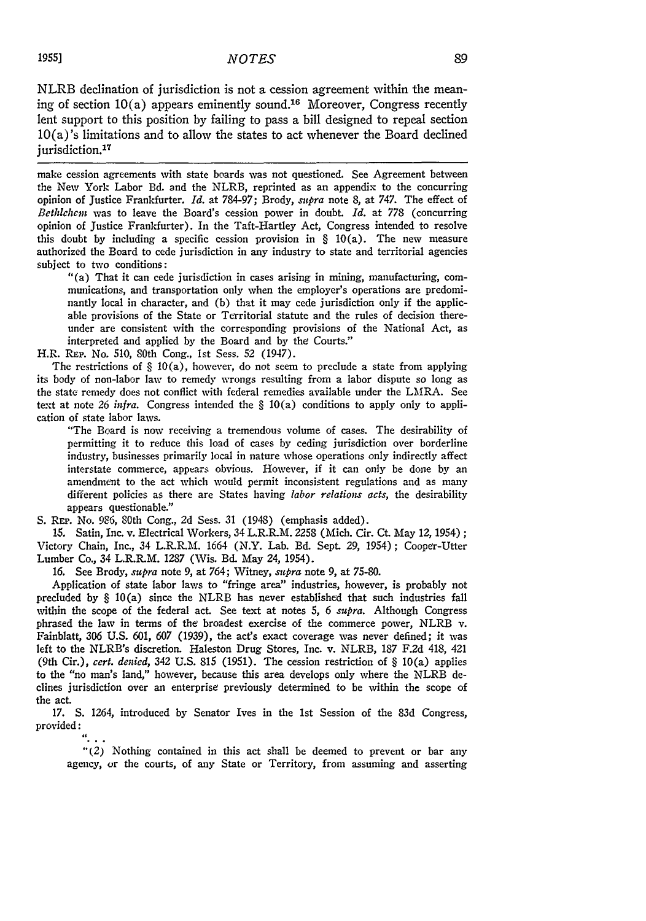NLRB declination of jurisdiction is not a cession agreement within the meaning of section  $10(a)$  appears eminently sound.<sup>16</sup> Moreover, Congress recently lent support to this position by failing to pass a bill designed to repeal section 10(a)'s limitations and to allow the states to act whenever the Board declined jurisdiction.<sup>17</sup>

make cession agreements with state boards was not questioned. See Agreement between the New York Labor Bd. and the NLRB, reprinted as an appendix to the concurring opinion of Justice Frankfurter. *Id.* at 784-97; Brody, *supra* note 8, at 747. The effect of *Bethlelcm* was to leave the Board's cession power in doubt. *Id.* at 778 (concurring opinion of Justice Frankfurter). In the Taft-Hartley Act, Congress intended to resolve this doubt by including a specific cession provision in § 10(a). The new measure authorized the Board to cede jurisdiction in any industry to state and territorial agencies subject to two conditions:

"(a) That it can cede jurisdiction in cases arising in mining, manufacturing, communications, and transportation only when the employer's operations are predominantly local in character, and (b) that it may cede jurisdiction only if the applicable provisions of the State or Territorial statute and the rules of decision thereunder are consistent with the corresponding provisions of the National Act, as interpreted and applied by the Board and by the Courts."

H.R. REP. No. 510, 80th Cong., 1st Sess. **52** (1947).

The restrictions of  $\S$  10(a), however, do not seem to preclude a state from applying its body of non-labor law to remedy wrongs resulting from a labor dispute so long as the state remedy does not conflict with federal remedies available under the LMRA. See text at note 26 *infra.* Congress intended the § 10(a) conditions to apply only to application of state labor laws.

"The Board is now receiving a tremendous volume of cases. The desirability of permitting it to reduce this load of cases by ceding jurisdiction over borderline industry, businesses primarily local in nature whose operations only indirectly affect interstate commerce, appears obvious. However, if it can only be done **by** an amendment to the act which would permit inconsistent regulations and as many different policies as there are States having *labor relations acts,* the desirability appears questionable."

S. REP. No. 9S6, 80th Cong., 2d Sess. 31 (1948) (emphasis added).

15. Satin, Inc. v. Electrical Workers, 34 L.R.R.M. **2258** (Mich. Cir. Ct. May 12, 1954); Victory Chain, Inc., 34 L.R.R.M. 1664 (N.Y. Lab. Bd. Sept. 29, 1954); Cooper-Utter Lumber Co., 34 L.R.R.M. 1287 (Wis. Bd. May 24, 1954).

16. See Brody, *supra* note 9, at 764; Witney, *supra* note 9, at 75-80.

Application of state labor laws to "fringe area" industries, however, is probably not precluded by § 10(a) since the NLRB has never established that such industries fall within the scope of the federal act. See text at notes *5,* 6 *supra.* Although Congress phrased the law in terms of the broadest exercise of the commerce power, NLRB v. Fainblatt, 306 U.S. 601, *607* (1939), the act's exact coverage was never defined; it was left to the NLRB's discretion. Haleston Drug Stores, Inc. v. NLRB, 187 F.2d 418, 421 (9th Cir.), *cert. denied,* 342 **U.S. 815** (1951). The cession restriction of § 10(a) applies to the "no man's land," however, because this area develops only where the NLRB declines jurisdiction over an enterprise previously determined to be within the scope of the act.

17. **S.** 1264, introduced by Senator Ives in the 1st Session of the 83d Congress, provided:

"(2) Nothing contained in this act shall be deemed to prevent or bar any agency, or the courts, of any State or Territory, from assuming and asserting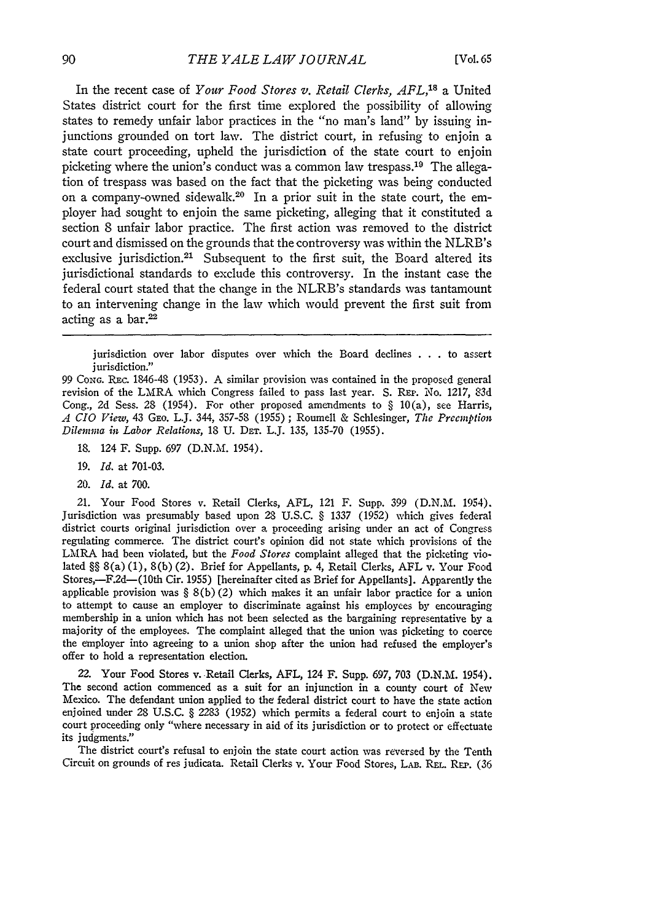In the recent case of *Your Food Stores v. Retail Clerks, AFL,18* a United States district court for the first time explored the possibility of allowing states to remedy unfair labor practices in the "no man's land" **by** issuing injunctions grounded on tort law. The district court, in refusing to enjoin a state court proceeding, upheld the jurisdiction of the state court to enjoin picketing where the union's conduct was a common law trespass.<sup>19</sup> The allegation of trespass was based on the fact that the picketing was being conducted on a company-owned sidewalk.<sup>20</sup> In a prior suit in the state court, the employer had sought to enjoin the same picketing, alleging that it constituted a section 8 unfair labor practice. The first action was removed to the district court and dismissed on the grounds that the controversy was within the NLRB's exclusive jurisdiction.<sup>21</sup> Subsequent to the first suit, the Board altered its jurisdictional standards to exclude this controversy. In the instant case the federal court stated that the change in the NLRB's standards was tantamount to an intervening change in the law which would prevent the first suit from acting as a bar. $22$ 

jurisdiction over labor disputes over which the Board declines **. . .** to assert jurisdiction."

99 **CONG.** REc. 1846-48 (1953). A similar provision was contained in the proposed general revision of the LMRA which Congress failed to pass last year. **S.** REP. No. 1217, 83d Cong., 2d Sess. 28 (1954). For other proposed amendments to  $\S$  10(a), see Harris, *A CIO View,* 43 GEo. L.J. 344, 357-58 (1955) ; Roumell & Schlesinger, *The Preemption Dilemma in Labor Relations,* 18 **U.** DEr. L.J. 135, 135-70 (1955).

18. 124 F. Supp. 697 (D.N.M. 1954).

- **19.** *Id.* at 701-03.
- *20. Id.* at 700.

21. Your Food Stores v. Retail Clerks, AFL, 121 F. Supp. 399 (D.N.M. 1954). Jurisdiction was presumably based upon 28 U.S.C. § 1337 (1952) which gives federal district courts original jurisdiction over a proceeding arising under an act of Congress regulating commerce. The district court's opinion did not state which provisions of the LMRA had been violated, but the *Food Stores* complaint alleged that the picketing violated §§ 8(a) (1), 8(b) (2). Brief for Appellants, **p.** 4, Retail Clerks, **AFL** v. Your Food Stores,-F2d-(10th Cir. 1955) [hereinafter cited as Brief for Appellants]. Apparently the applicable provision was  $\S(6)(2)$  which makes it an unfair labor practice for a union to attempt to cause an employer to discriminate against his employees by encouraging membership in a union which has not been selected as the bargaining representative by a majority of the employees. The complaint alleged that the union was picketing to coerce the employer into agreeing to a union shop after the union had refused the employer's offer to hold a representation election.

22. Your Food Stores v. Retail Clerks, AFL, 124 F. Supp. 697, 703 (D.N.M. 1954). The second action commenced as a suit for an injunction in a county court of New Mexico. The defendant union applied to the federal district court to have the state action enjoined under 28 U.S.C. § 2283 (1952) which permits a federal court to enjoin a state court proceeding only "where necessary in aid of its jurisdiction or to protect or effectuate its judgments."

The district court's refusal to enjoin the state court action was reversed by the Tenth Circuit on grounds of res judicata. Retail Clerks v. Your Food Stores, LAB. REL. REP. (36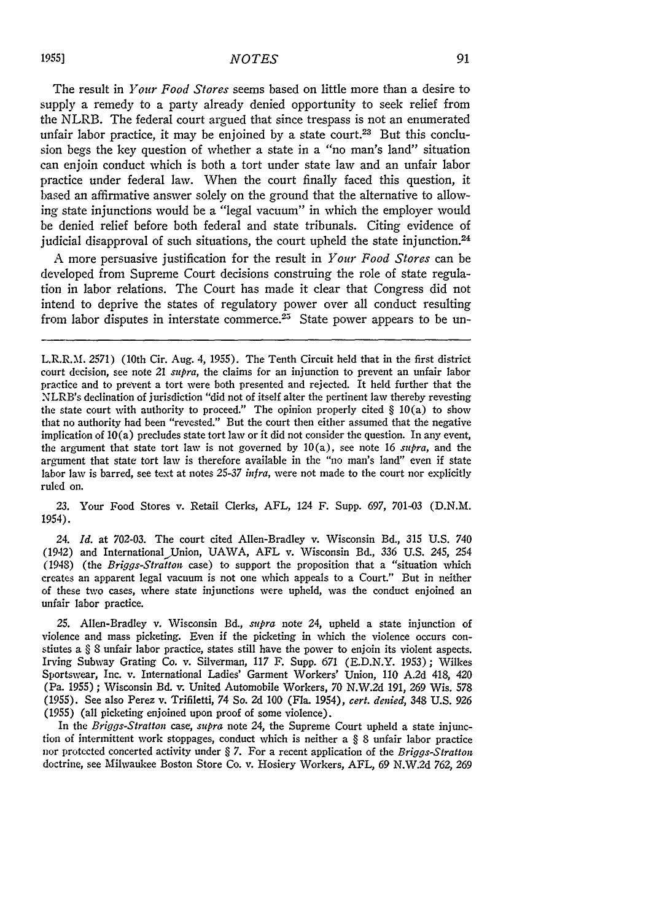The result in *Your Food Stores* seems based on little more than a desire to supply a remedy to a party already denied opportunity to seek relief from the NLRB. The federal court argued that since trespass is not an enumerated unfair labor practice, it may be enjoined by a state court.<sup>23</sup> But this conclusion begs the key question of whether a state in a "no man's land" situation can enjoin conduct which is both a tort under state law and an unfair labor practice under federal law. When the court finally faced this question, it based an affirmative answer solely on the ground that the alternative to allowing state injunctions would be a "legal vacuum" in which the employer would be denied relief before both federal and state tribunals. Citing evidence of judicial disapproval of such situations, the court upheld the state injunction.<sup>24</sup>

A more persuasive justification for the result in *Your Food Stores* can be developed from Supreme Court decisions construing the role of state regulation in labor relations. The Court has made it clear that Congress did not intend to deprive the states of regulatory power over all conduct resulting from labor disputes in interstate commerce.<sup>25</sup> State power appears to be un-

23. Your Food Stores v. Retail Clerks, AFL, 124 F. Supp. 697, 701-03 (D.N.M. 1954).

24. *Id.* at 702-03. The court cited Allen-Bradley v. Wisconsin Bd., 315 U.S. 740 (1942) and International)Union, UAWA, AFL v. Wisconsin Bd., *336* U.S. 245, 254 (1948) (the *Briggs-Stratton* case) to support the proposition that a "situation which creates an apparent legal vacuum is not one which appeals to a Court." But in neither of these two cases, where state injunctions were upheld, was the conduct enjoined an unfair labor practice.

25. Allen-Bradley v. Wisconsin Bd., *supra* note 24, upheld a state injunction of violence and mass picketing. Even if the picketing in which the violence occurs constiutes a § **8** unfair labor practice, states still have the power to enjoin its violent aspects. Irving Subway Grating Co. v. Silverman, **117** F. Supp. 671 (E.D.N.Y. 1953); Wilkes Sportswear, Inc. v. International Ladies' Garment Workers' Union, 110 A.2d 418, 420 (Pa. 1955); Wisconsin Bd. *v.* United Automobile Workers, 70 N.W.2d 191, *269* Wis. 578 (1955). See also Perez v. Trifiletti, 74 So. 2d 100 (Fla. 1954), *cert. denied,* 348 U.S. *926* (1955) (all picketing enjoined upon proof of some violence).

In the *Briggs-Stratton case, supra* note 24, the Supreme Court upheld a state injunction of intermittent work stoppages, conduct which is neither a § **8** unfair labor practice nor protected concerted activity under § 7. For a recent application of the *Briggs-Stratton* doctrine, see Milwaukee Boston Store Co. v. Hosiery Workers, AFL, 69 N.W.2d 762, *269*

L.R.R.M. 2571) (10th Cir. Aug. *4,* 1955). The Tenth Circuit held that in the first district court decision, see note 21 *supra,* the claims for an injunction to prevent an unfair labor practice and to prevent a tort were both presented and rejected. It held further that the NLRB's declination of jurisdiction "did not of itself alter the pertinent law thereby revesting the state court with authority to proceed." The opinion properly cited  $\S 10(a)$  to show that no authority had been "revested." But the court then either assumed that the negative implication of 10(a) precludes state tort law or it did not consider the question. In any event, the argument that state tort law is not governed by 10(a), see note 16 *supra,* and the argument that state tort law is therefore available in the "no man's land" even if state labor law is barred, see text at notes 25-37 *infra,* were not made to the court nor explicitly ruled on.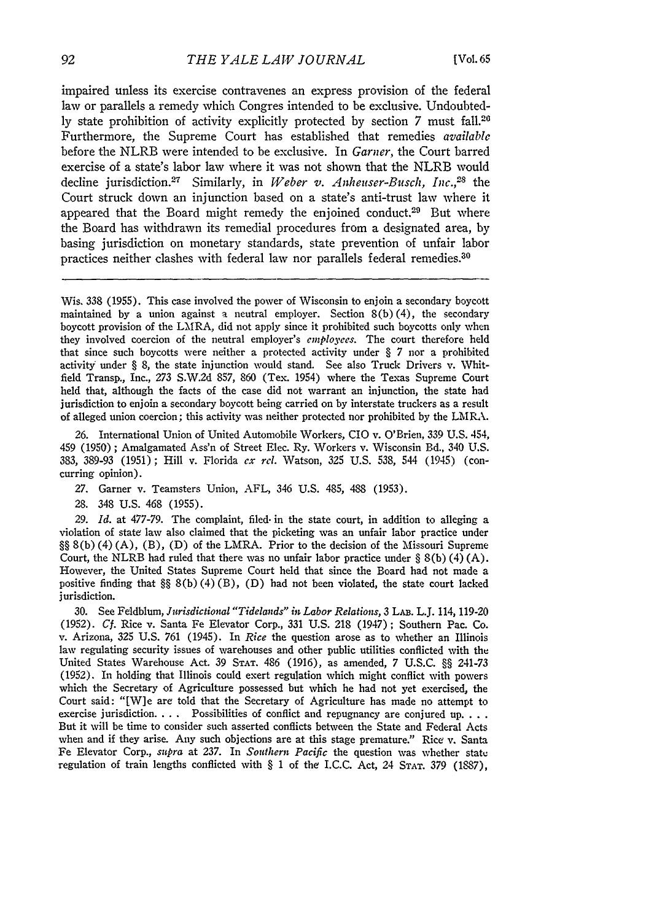impaired unless its exercise contravenes an express provision of the federal law or parallels a remedy which Congres intended to be exclusive. Undoubted**ly** state prohibition of activity explicitly protected **by** section 7 must fall. <sup>20</sup> Furthermore, the Supreme Court has established that remedies *available* before the NLRB were intended to be exclusive. In *Garner,* the Court barred exercise of a state's labor law where it was not shown that the NLRB would decline jurisdiction.<sup>27</sup> Similarly, in *Weber v. Anheuser-Busch, Inc.*,<sup>28</sup> the Court struck down an injunction based on a state's anti-trust law where it appeared that the Board might remedy the enjoined conduct.<sup>29</sup> But where the Board has withdrawn its remedial procedures from a designated area, **by** basing jurisdiction on monetary standards, state prevention of unfair labor practices neither clashes with federal law nor parallels federal remedies.<sup>30</sup>

Wis. 338 (1955). This case involved the power of Wisconsin to enjoin a secondary boycott maintained **by** a union against a neutral employer. Section 8(b) (4), the secondary boycott provision of the LMRA, did not apply since it prohibited such boycotts only when they involved coercion of the neutral employer's *employees.* The court therefore held that since such boycotts were neither a protected activity under § 7 nor a prohibited activity under § 8, the state injunction would stand. See also Truck Drivers v. Whitfield Transp., Inc., 273 S.W.2d 857, 860 (Tex. 1954) where the Texas Supreme Court held that, although the facts of the case did not warrant an injunction, the state had jurisdiction to enjoin a secondary boycott being carried on **by** interstate truckers as a result of alleged union coercion; this activity was neither protected nor prohibited **by** the LMRA.

**26.** International Union of United Automobile Workers, CIO v. O'Brien, 339 **U.S.** 454, 459 (1950) ; Amalgamated Ass'n of Street Elec. Ry. Workers v. Wisconsin Bd., 340 **U.S.** 383, 389-93 (1951); Hill v. Florida *cx rel.* Watson, 325 **U.S.** 538, 544 (1945) (concurring opinion).

- **27.** Garner v. Teamsters Union, AFL, 346 **U.S.** 485, 488 (1953).
- 28. 348 **U.S.** 468 (1955).

**29.** *Id.* at 477-79. The complaint, filed. in the state court, in addition to alleging a violation of state law also claimed that the picketing was an unfair labor practice under §§ 8(b) (4) (A), (B), (D) of the LMRA. Prior to the decision of the Missouri Supreme Court, the NLRB had ruled that there was no unfair labor practice under  $\S 8(b) (4) (A)$ . However, the United States Supreme Court held that since the Board had not made a positive finding that  $\S\S 8(b)(4)(B)$ , (D) had not been violated, the state court lacked jurisdiction.

**30.** See Feldblum, *Jurisdictional "Tidelands" in Labor Relatiols,* **3** LAB. L.J. 114, 119-20 (1952). *Cf.* Rice v. Santa Fe Elevator Corp., 331 U.S. 218 (1947); Southern Pac. Co. v. Arizona, 325 U.S. 761 (1945). In *Rice* the question arose as to whether an Illinois law regulating security issues of warehouses and other public utilities conflicted with the United States Warehouse Act. 39 STAT. 486 (1916), as amended, 7 U.S.C. §§ 241-73 (1952). In holding that Illinois could exert regulation which might conflict with powers which the Secretary of Agriculture possessed but which he had not yet exercised, the Court said: "[W]e are told that the Secretary of Agriculture has made no attempt to exercise jurisdiction **....** Possibilities of conflict and repugnancy are conjured **up. ...** But it will be time to consider such asserted conflicts between the State and Federal Acts when and if they arise. Any such objections are at this stage premature." Rice v. Santa Fe Elevator Corp., *supra* at 237. In *Southern Pacific* the question was whether state regulation of train lengths conflicted with  $\S$  1 of the I.C.C. Act, 24 STAT. 379 (1887),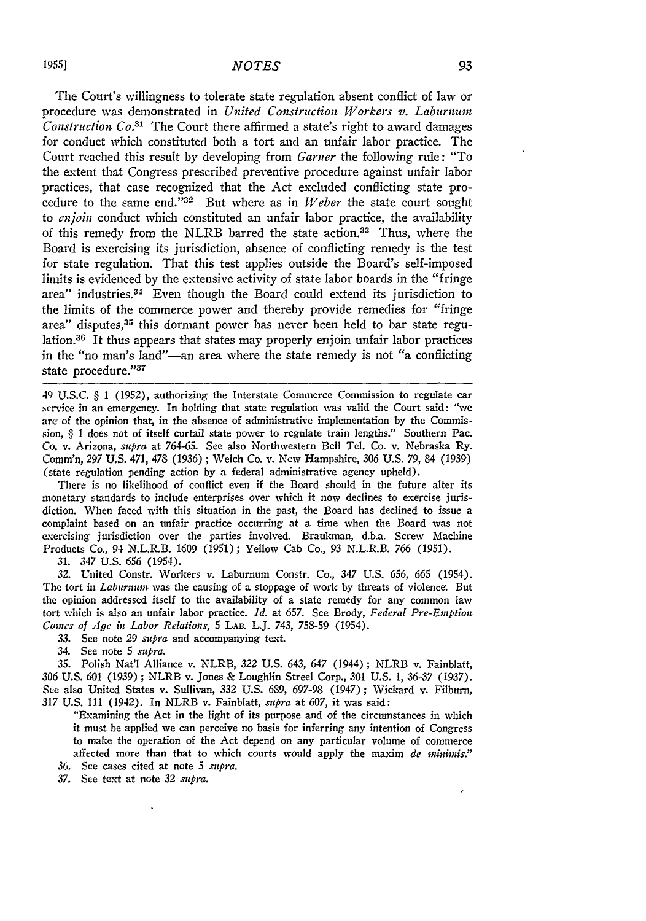## *NOTES*

The Court's willingness to tolerate state regulation absent conflict of law or procedure was demonstrated in *United Construction Workers v. Laburnum Construction Co. <sup>3</sup> <sup>1</sup>*The Court there affirmed a state's right to award damages for conduct which constituted both a tort and an unfair labor practice. The Court reached this result by developing from *Garner* the following rule: "To the extent that Congress prescribed preventive procedure against unfair labor practices, that case recognized that the Act excluded conflicting state procedure to the same end."<sup>32</sup> But where as in *Weber* the state court sought to *enjoin* conduct which constituted an unfair labor practice, the availability of this remedy from the NLRB barred the state action.33 Thus, where the Board is exercising its jurisdiction, absence of conflicting remedy is the test for state regulation. That this test applies outside the Board's self-imposed limits is evidenced by the extensive activity of state labor boards in the "fringe area" industries.<sup>34</sup> Even though the Board could extend its jurisdiction to the limits of the commerce power and thereby provide remedies for "fringe area" disputes, **<sup>3</sup> <sup>5</sup>**this dormant power has never been held to bar state regulation.<sup>36</sup> It thus appears that states may properly enjoin unfair labor practices in the "no man's land"-an area where the state remedy is not "a conflicting state procedure."37

49 U.S.C. § 1 (1952), authorizing the Interstate Commerce Commission to regulate car service in an emergency. In holding that state regulation was valid the Court said: "we are of the opinion that, in the absence of administrative implementation by the Commission, § 1 does not of itself curtail state power to regulate train lengths." Southern Pac. Co. v. Arizona, *supra* at 764-65. See also Northwestern Bell Tel. Co. v. Nebraska Ry. Comm'n, 297 U.S. 471, 478 (1936) ; Welch Co. v. New Hampshire, 306 U.S. 79, 84 (1939) (state regulation pending action by a federal administrative agency upheld).

There is no likelihood of conflict even if the Board should in the future alter its monetary standards to include enterprises over which it now declines to exercise jurisdiction. When faced with this situation in the past, the Board has declined to issue a complaint based on an unfair practice occurring at a time when the Board was not exercising jurisdiction over the parties involved. Braukman, d.b.a. Screw Machine Products Co., 94 N.L.R.B. 1609 (1951); Yellow Cab Co., 93 N.L.R.B. *766* (1951).

31. *347* U.S. **656** (1954).

*32.* United Constr. Workers v. Laburnum Constr. Co., 347 U.S. 656, *665* (1954). The tort in *Laburnum* was the causing of a stoppage of work by threats of violence. But the opinion addressed itself to the availability of a state remedy for any common law tort which is also an unfair labor practice. *Id.* at 657. See Brody, *Federal Pre-Emption Comes of Age in Labor Relations,* 5 LAB. L.J. 743, 758-59 (1954).

*33.* See note 29 *supra* and accompanying text.

34. See note 5 *supra.*

35. Polish Nat'l Alliance v. NLRB, *322* U.S. 643, 647 (1944); NLRB v. Fainblatt, *306* U.S. 601 (1939) ; NLRB v. Jones & Loughlin Streel Corp., 301 U.S. 1, *36-37 (1937).* See also United States v. Sullivan, 332 U.S. 689, 697-98 (1947); Wickard v. Filburn, *317* U.S. 111 (1942). In NLRB v. Fainblatt, *supra* at 607, it was said:

"Examining the Act in the light of its purpose and of the circumstances in which it must be applied we can perceive no basis for inferring any intention of Congress to make the operation of the Act depend on any particular volume of commerce affected more than that to which courts would apply the maxim *de minimis.*" **36.** See cases cited at note 5 *supra.*

*37.* See text at note *32 supra.*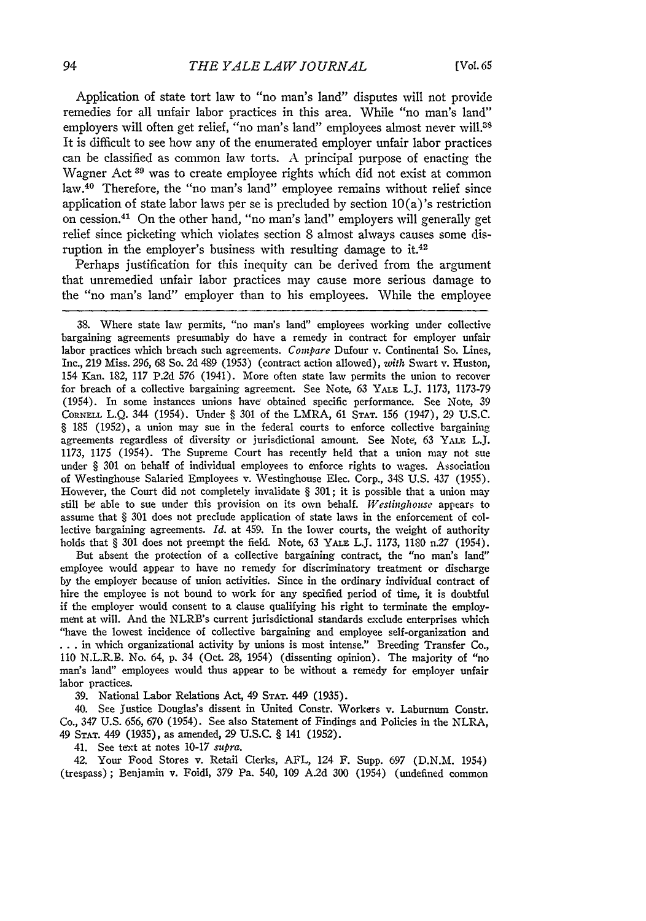Application of state tort law to "no man's land" disputes will not provide remedies for all unfair labor practices in this area. While "no man's land" employers will often get relief, "no man's land" employees almost never will.<sup>38</sup> It is difficult to see how any of the enumerated employer unfair labor practices can be classified as common law torts. A principal purpose of enacting the Wagner Act **39** was to create employee rights which did not exist at common law.40 Therefore, the "no man's land" employee remains without relief since application of state labor laws per se is precluded by section  $10(a)$ 's restriction on cession. 41 On the other hand, "no man's land" employers will generally get relief since picketing which violates section 8 almost always causes some disruption in the employer's business with resulting damage to it.<sup>42</sup>

Perhaps justification for this inequity can be derived from the argument that unremedied unfair labor practices may cause more serious damage to the "no man's land" employer than to his employees. While the employee

38. Where state law permits, "no man's land" employees working under collective bargaining agreements presumably do have a remedy in contract for employer unfair labor practices which breach such agreements. *Compare* Dufour v. Continental So. Lines, Inc., 219 Miss. 296, 68 So. 2d 489 (1953) (contract action allowed), with Swart v. Huston, 154 Kan. 182, 117 P.2d 576 (1941). More often state law permits the union to recover for breach of a collective bargaining agreement. See Note, 63 YALE L.J. 1173, 1173-79 (1954). In some instances unions have obtained specific performance. See Note, 39 **CORNELL** L.Q. 344 (1954). Under § 301 of the LMRA, 61 **STAT.** 156 (1947), 29 U.S.C. § 185 (1952), a union may sue in the federal courts to enforce collective bargaining agreements regardless of diversity or jurisdictional amount. See Note, 63 YALE L.J. 1173, 1175 (1954). The Supreme Court has recently held that a union may not sue under § 301 on behalf of individual employees to enforce rights to wages. Association of Westinghouse Salaried Employees v. Westinghouse Elec. Corp., 348 U.S. 437 (1955). However, the Court did not completely invalidate § 301; it is possible that a union may still be able to sue under this provision on its own behalf. *Westinghouse* appears to assume that § 301 does not preclude application of state laws in the enforcement of collective bargaining agreements. *Id.* at 459. In the lower courts, the weight of authority holds that § 301 does not preempt the field. Note, 63 YALE L.J. 1173, 1180 n.27 (1954).

But absent the protection of a collective bargaining contract, the "no man's land" employee would appear to have no remedy for discriminatory treatment or discharge by the employer because of union activities. Since in the ordinary individual contract of hire the employee is not bound to work for any specified period of time, it is doubtful if the employer would consent to a clause qualifying his right to terminate the employment at will. And the NLRB's current jurisdictional standards exclude enterprises which "have the lowest incidence of collective bargaining and employee self-organization and **• . .** in which organizational activity by unions is most intense." Breeding Transfer Co., 110 N.L.R.B. No. 64, p. 34 (Oct. 28, 1954) (dissenting opinion). The majority of "no man's land" employees would thus appear to be without a remedy for employer unfair labor practices.

39. National Labor Relations Act, 49 **STAT.** 449 (1935).

40. See Justice Douglas's dissent in United Constr. Workers v. Laburnum Constr. Co., 347 U.S. 656, 670 (1954). See also Statement of Findings and Policies in the NLRA, 49 **STAT.** 449 (1935), as amended, 29 U.S.C. § 141 (1952).

41. See text at notes 10-17 *supra.*

42. Your Food Stores v. Retail Clerks, AFL, 124 F. Supp. 697 (D.N.M. 1954) (trespass); Benjamin v. Foidl, 379 Pa. 540, 109 A.2d 300 (1954) (undefined common